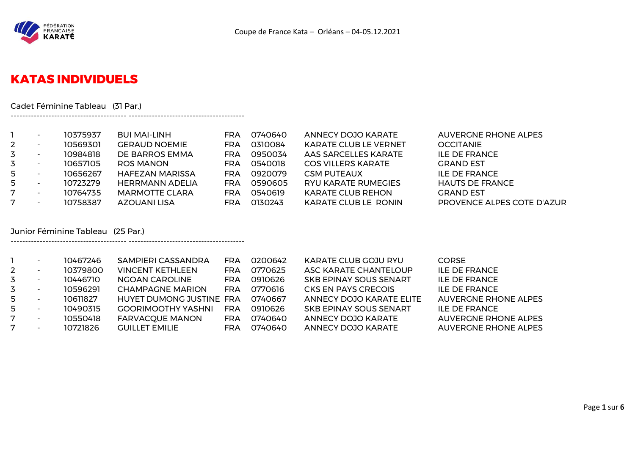

## **KATAS INDIVIDUELS**

Cadet Féminine Tableau (31 Par.)

---------------------------------------- ----------------------------------------

---------------------------------------- ----------------------------------------

|   | $\overline{\phantom{0}}$ | 10375937 | <b>BUI MAI-LINH</b>    | FRA        | 0740640 | ANNECY DOJO KARATE           | <b>AUVERGNE RHONE ALPES</b> |
|---|--------------------------|----------|------------------------|------------|---------|------------------------------|-----------------------------|
|   | $\overline{\phantom{0}}$ | 10569301 | <b>GERAUD NOEMIE</b>   | <b>FRA</b> | 0310084 | <b>KARATE CLUB LE VERNET</b> | <b>OCCITANIE</b>            |
|   | $\overline{\phantom{0}}$ | 10984818 | DE BARROS EMMA         | <b>FRA</b> | 0950034 | AAS SARCELLES KARATE         | <b>ILE DE FRANCE</b>        |
|   | $\overline{\phantom{0}}$ | 10657105 | <b>ROS MANON</b>       | FRA        | 0540018 | <b>COS VILLERS KARATE</b>    | <b>GRAND EST</b>            |
|   | $\overline{\phantom{0}}$ | 10656267 | <b>HAFEZAN MARISSA</b> | FRA        | 0920079 | <b>CSM PUTEAUX</b>           | <b>ILE DE FRANCE</b>        |
|   | $\overline{\phantom{a}}$ | 10723279 | <b>HERRMANN ADELIA</b> | FRA        | 0590605 | <b>RYU KARATE RUMEGIES</b>   | <b>HAUTS DE FRANCE</b>      |
| 7 | $\overline{\phantom{0}}$ | 10764735 | <b>MARMOTTE CLARA</b>  | FRA        | 0540619 | <b>KARATE CLUB REHON</b>     | <b>GRAND EST</b>            |
|   | $\overline{\phantom{0}}$ | 10758387 | AZOUANI LISA           | FRA        | 0130243 | KARATE CLUB LE RONIN         | PROVENCE ALPES COTE D'AZUR  |

#### Junior Féminine Tableau (25 Par.)

|                | $\overline{\phantom{0}}$ | 10467246 | SAMPIERI CASSANDRA        | FRA | 0200642 | KARATE CLUB GOJU RYU            | <b>CORSE</b>                |
|----------------|--------------------------|----------|---------------------------|-----|---------|---------------------------------|-----------------------------|
| $\overline{2}$ |                          | 10379800 | <b>VINCENT KETHLEEN</b>   | FRA | 0770625 | ASC KARATE CHANTELOUP           | <b>ILE DE FRANCE</b>        |
| 3              |                          | 10446710 | NGOAN CAROLINE            | FRA | 0910626 | <b>SKB EPINAY SOUS SENART</b>   | <b>ILE DE FRANCE</b>        |
| 3.             |                          | 10596291 | <b>CHAMPAGNE MARION</b>   | FRA | 0770616 | CKS EN PAYS CRECOIS             | <b>ILE DE FRANCE</b>        |
| 5              |                          | 10611827 | HUYET DUMONG JUSTINE FRA  |     | 0740667 | <b>ANNECY DOJO KARATE ELITE</b> | <b>AUVERGNE RHONE ALPES</b> |
| 5              |                          | 10490315 | <b>GOORIMOOTHY YASHNI</b> | FRA | 0910626 | <b>SKB EPINAY SOUS SENART</b>   | <b>ILE DE FRANCE</b>        |
| 7              | $\overline{\phantom{0}}$ | 10550418 | <b>FARVACQUE MANON</b>    | FRA | 0740640 | ANNECY DOJO KARATE              | AUVERGNE RHONE ALPES        |
| 7              |                          | 10721826 | <b>GUILLET EMILIE</b>     | FRA | 0740640 | ANNECY DOJO KARATE              | <b>AUVERGNE RHONE ALPES</b> |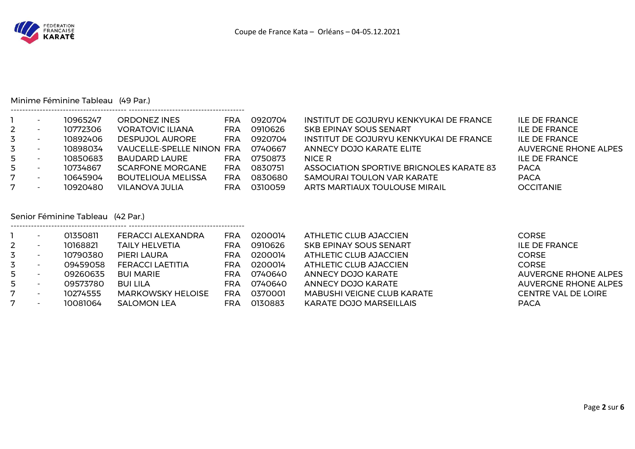

#### Minime Féminine Tableau (49 Par.)

---------------------------------------- ----------------------------------------

|             | $\overline{\phantom{0}}$ | 10965247 | ORDONEZ INES                     | FRA        | 0920704 | INSTITUT DE GOJURYU KENKYUKAI DE FRANCE  | <b>ILE DE FRANCE</b>        |
|-------------|--------------------------|----------|----------------------------------|------------|---------|------------------------------------------|-----------------------------|
| $2^{\circ}$ | $\overline{\phantom{a}}$ | 10772306 | <b>VORATOVIC ILIANA</b>          | FRA        | 0910626 | SKB EPINAY SOUS SENART                   | <b>ILE DE FRANCE</b>        |
| 3           | $\overline{\phantom{a}}$ | 10892406 | <b>DESPUJOL AURORE</b>           | FRA        | 0920704 | INSTITUT DE GOJURYU KENKYUKAI DE FRANCE  | ILE DE FRANCE               |
| 3           | $\overline{\phantom{a}}$ | 10898034 | <b>VAUCELLE-SPELLE NINON FRA</b> |            | 0740667 | ANNECY DOJO KARATE ELITE                 | <b>AUVERGNE RHONE ALPES</b> |
| 5           | $\overline{\phantom{a}}$ | 10850683 | BAUDARD LAURE                    | <b>FRA</b> | 0750873 | NICE R                                   | ILE DE FRANCE               |
| 5           | $\overline{\phantom{a}}$ | 10734867 | SCARFONE MORGANE                 | <b>FRA</b> | 0830751 | ASSOCIATION SPORTIVE BRIGNOLES KARATE 83 | <b>PACA</b>                 |
| 7           | $\overline{\phantom{0}}$ | 10645904 | <b>BOUTELIOUA MELISSA</b>        | FRA        | 0830680 | SAMOURAI TOULON VAR KARATE               | <b>PACA</b>                 |
| 7           | $\overline{\phantom{a}}$ | 10920480 | VILANOVA JULIA                   | FRA        | 0310059 | ARTS MARTIAUX TOULOUSE MIRAIL            | <b>OCCITANIE</b>            |

### Senior Féminine Tableau (42 Par.)

|                          | 01350811 | FERACCI ALEXANDRA        | <b>FRA</b> | 0200014 | ATHLETIC CLUB AJACCIEN            | CORSE.                      |
|--------------------------|----------|--------------------------|------------|---------|-----------------------------------|-----------------------------|
| $\overline{\phantom{0}}$ | 10168821 | <b>TAILY HELVETIA</b>    | <b>FRA</b> | 0910626 | <b>SKB EPINAY SOUS SENART</b>     | <b>ILE DE FRANCE</b>        |
| $\overline{\phantom{0}}$ | 10790380 | PIERI LAURA              | <b>FRA</b> | 0200014 | ATHLETIC CLUB AJACCIEN            | CORSE I                     |
|                          | 09459058 | FERACCI LAETITIA         | <b>FRA</b> | 0200014 | ATHLETIC CLUB AJACCIEN            | CORSE I                     |
|                          | 09260635 | BUI MARIE                | <b>FRA</b> | 0740640 | ANNECY DOJO KARATE                | <b>AUVERGNE RHONE ALPES</b> |
|                          | 09573780 | <b>BUI LILA</b>          | <b>FRA</b> | 0740640 | ANNECY DOJO KARATE                | <b>AUVERGNE RHONE ALPES</b> |
|                          | 10274555 | <b>MARKOWSKY HELOISE</b> | FRA        | 0370001 | <b>MABUSHI VEIGNE CLUB KARATE</b> | <b>CENTRE VAL DE LOIRE</b>  |
| $\overline{\phantom{a}}$ | 10081064 | <b>SALOMON LEA</b>       | FRA        | 0130883 | KARATE DOJO MARSEILLAIS           | <b>PACA</b>                 |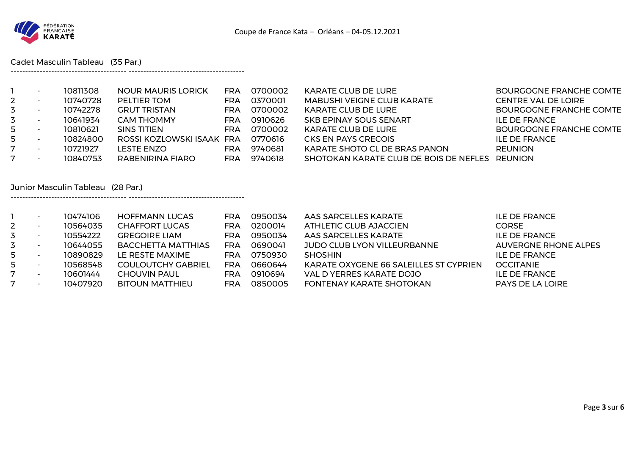

Cadet Masculin Tableau (35 Par.)

---------------------------------------- ----------------------------------------

---------------------------------------- ----------------------------------------

|                | $\overline{\phantom{a}}$ | 10811308 | <b>NOUR MAURIS LORICK</b> | FRA | 0700002 | KARATE CLUB DE LURE                            | BOURGOGNE FRANCHE COMTE    |
|----------------|--------------------------|----------|---------------------------|-----|---------|------------------------------------------------|----------------------------|
| $\overline{2}$ | $\overline{\phantom{a}}$ | 10740728 | PELTIER TOM               | FRA | 0370001 | <b>MABUSHI VEIGNE CLUB KARATE</b>              | <b>CENTRE VAL DE LOIRE</b> |
| 3              |                          | 10742278 | <b>GRUT TRISTAN</b>       | FRA | 0700002 | <b>KARATE CLUB DE LURE</b>                     | BOURGOGNE FRANCHE COMTE    |
| 3              | $\overline{\phantom{a}}$ | 10641934 | <b>CAM THOMMY</b>         | FRA | 0910626 | SKB EPINAY SOUS SENART                         | <b>ILE DE FRANCE</b>       |
| 5              | $\overline{\phantom{a}}$ | 10810621 | SINS TITIEN               | FRA | 0700002 | KARATE CLUB DE LURE                            | BOURGOGNE FRANCHE COMTE    |
| 5              | $\overline{\phantom{a}}$ | 10824800 | ROSSI KOZLOWSKI ISAAK FRA |     | 0770616 | CKS EN PAYS CRECOIS                            | ILE DE FRANCE              |
| 7              |                          | 10721927 | LESTE ENZO                | FRA | 9740681 | KARATE SHOTO CL DE BRAS PANON                  | <b>REUNION</b>             |
| 7              | $\overline{\phantom{a}}$ | 10840753 | RABENIRINA FIARO          | FRA | 9740618 | SHOTOKAN KARATE CLUB DE BOIS DE NEFLES REUNION |                            |

Junior Masculin Tableau (28 Par.)

|                | 10474106 | <b>HOFFMANN LUCAS</b>     | <b>FRA</b> | 0950034 | AAS SARCELLES KARATE                   | ILE DE FRANCE           |
|----------------|----------|---------------------------|------------|---------|----------------------------------------|-------------------------|
| $\overline{2}$ | 10564035 | <b>CHAFFORT LUCAS</b>     | FRA        | 0200014 | ATHLETIC CLUB AJACCIEN                 | <b>CORSE</b>            |
| 3              | 10554222 | <b>GREGOIRE LIAM</b>      | FRA        | 0950034 | AAS SARCELLES KARATE                   | <b>ILE DE FRANCE</b>    |
| 3              | 10644055 | <b>BACCHETTA MATTHIAS</b> | FRA        | 0690041 | JUDO CLUB LYON VILLEURBANNE            | AUVERGNE RHONE ALPES    |
| 5              | 10890829 | LE RESTE MAXIME           | FRA        | 0750930 | <b>SHOSHIN</b>                         | ILE DE FRANCE           |
| 5              | 10568548 | <b>COULOUTCHY GABRIEL</b> | FRA        | 0660644 | KARATE OXYGENE 66 SALEILLES ST CYPRIEN | <b>OCCITANIE</b>        |
| 7              | 10601444 | <b>CHOUVIN PAUL</b>       | FRA        | 0910694 | VAL D YERRES KARATE DOJO               | <b>ILE DE FRANCE</b>    |
| 7              | 10407920 | <b>BITOUN MATTHIEU</b>    | FRA        | 0850005 | FONTENAY KARATE SHOTOKAN               | <b>PAYS DE LA LOIRE</b> |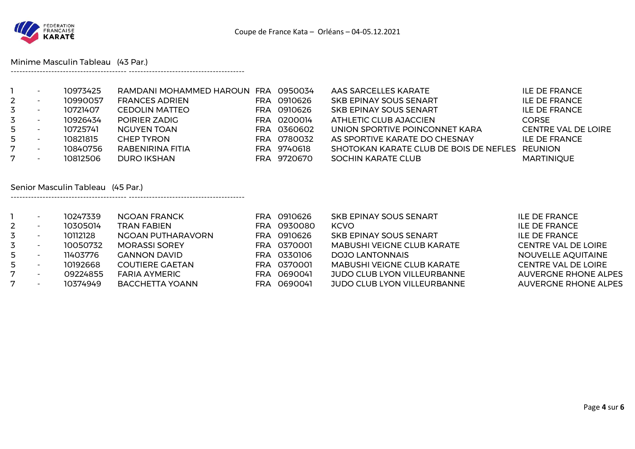

Minime Masculin Tableau (43 Par.)

---------------------------------------- ----------------------------------------

---------------------------------------- ----------------------------------------

|             | 10973425 | RAMDANI MOHAMMED HAROUN FRA 0950034 |             | AAS SARCELLES KARATE                           | <b>ILE DE FRANCE</b>       |
|-------------|----------|-------------------------------------|-------------|------------------------------------------------|----------------------------|
| $2^{\circ}$ | 10990057 | <b>FRANCES ADRIEN</b>               | FRA 0910626 | SKB EPINAY SOUS SENART                         | <b>ILE DE FRANCE</b>       |
| 3           | 10721407 | <b>CEDOLIN MATTEO</b>               | FRA 0910626 | SKB EPINAY SOUS SENART                         | <b>ILE DE FRANCE</b>       |
| 3           | 10926434 | POIRIER ZADIG                       | FRA 0200014 | ATHLETIC CLUB AJACCIEN                         | <b>CORSE</b>               |
| 5           | 10725741 | <b>NGUYEN TOAN</b>                  | FRA 0360602 | UNION SPORTIVE POINCONNET KARA                 | <b>CENTRE VAL DE LOIRE</b> |
| 5           | 10821815 | <b>CHEP TYRON</b>                   | FRA 0780032 | AS SPORTIVE KARATE DO CHESNAY                  | <b>ILE DE FRANCE</b>       |
| 7           | 10840756 | RABENIRINA FITIA                    | FRA 9740618 | SHOTOKAN KARATE CLUB DE BOIS DE NEFLES REUNION |                            |
|             | 10812506 | <b>DURO IKSHAN</b>                  | FRA 9720670 | <b>SOCHIN KARATE CLUB</b>                      | <b>MARTINIQUE</b>          |

#### Senior Masculin Tableau (45 Par.)

|              |                          | 10247339 | NGOAN FRANCK           | FRA. | 0910626 | <b>SKB EPINAY SOUS SENART</b>      | <b>ILE DE FRANCE</b>        |
|--------------|--------------------------|----------|------------------------|------|---------|------------------------------------|-----------------------------|
| $\mathbf{2}$ |                          | 10305014 | <b>TRAN FABIEN</b>     | FRA. | 0930080 | <b>KCVO</b>                        | <b>ILE DE FRANCE</b>        |
| 3            |                          | 10112128 | NGOAN PUTHARAVORN      | FRA. | 0910626 | <b>SKB EPINAY SOUS SENART</b>      | <b>ILE DE FRANCE</b>        |
| 3            | $\overline{\phantom{a}}$ | 10050732 | <b>MORASSI SOREY</b>   | FRA. | 0370001 | <b>MABUSHI VEIGNE CLUB KARATE</b>  | <b>CENTRE VAL DE LOIRE</b>  |
| 5            |                          | 11403776 | <b>GANNON DAVID</b>    | FRA  | 0330106 | DOJO LANTONNAIS                    | NOUVELLE AQUITAINE          |
| 5            | $\overline{\phantom{a}}$ | 10192668 | <b>COUTIERE GAETAN</b> | FRA  | 0370001 | <b>MABUSHI VEIGNE CLUB KARATE</b>  | <b>CENTRE VAL DE LOIRE</b>  |
| 7            | $\overline{\phantom{a}}$ | 09224855 | <b>FARIA AYMERIC</b>   | FRA  | 0690041 | JUDO CLUB LYON VILLEURBANNE        | <b>AUVERGNE RHONE ALPES</b> |
|              | $\overline{\phantom{a}}$ | 10374949 | <b>BACCHETTA YOANN</b> | FRA  | 0690041 | <b>JUDO CLUB LYON VILLEURBANNE</b> | <b>AUVERGNE RHONE ALPES</b> |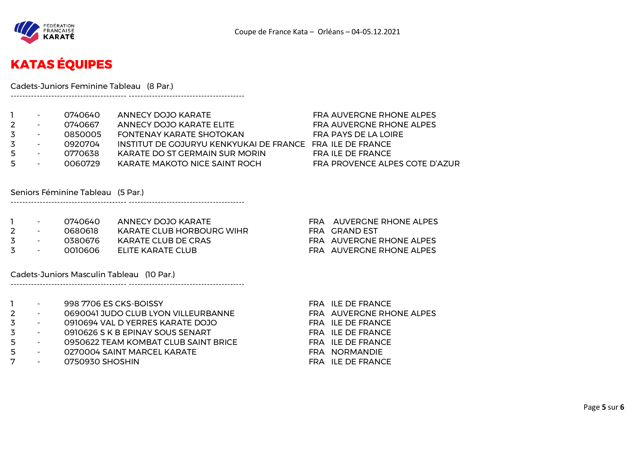

# **KATAS ÉQUIPES**

Cadets-Juniors Feminine Tableau (8 Par.)

|    | $\overline{\phantom{a}}$ | 0740640 | ANNECY DOJO KARATE                                        | FRA AUVERGNE RHONE ALPES       |
|----|--------------------------|---------|-----------------------------------------------------------|--------------------------------|
|    | $\overline{\phantom{a}}$ | 0740667 | ANNECY DOJO KARATE ELITE                                  | FRA AUVERGNE RHONE ALPES       |
| 3. | $\overline{\phantom{a}}$ | 0850005 | FONTENAY KARATE SHOTOKAN                                  | FRA PAYS DE LA LOIRE           |
| 3. | $\overline{\phantom{a}}$ | 0920704 | INSTITUT DE GOJURYU KENKYUKAI DE FRANCE FRA ILE DE FRANCE |                                |
| 5  | $\overline{\phantom{a}}$ | 0770638 | KARATE DO ST GERMAIN SUR MORIN                            | FRA ILE DE FRANCE              |
| 5  | $\overline{\phantom{a}}$ | 0060729 | KARATE MAKOTO NICE SAINT ROCH                             | FRA PROVENCE ALPES COTE D'AZUR |
|    |                          |         |                                                           |                                |

Seniors Féminine Tableau (5 Par.)

---------------------------------------- ----------------------------------------

---------------------------------------- ----------------------------------------

---------------------------------------- ----------------------------------------

|               | $\sim$ | 0740640  | ANNECY DOJO KARATE        | FRA AUVERGNE RHONE ALPES |
|---------------|--------|----------|---------------------------|--------------------------|
| $2 -$         |        | ೧೯৪೧೯१८  | KARATE CLUB HORBOURG WIHR | FRA GRAND FST            |
| $\sim$ $\sim$ |        | 0380676  | KARATE CLUB DE CRAS       | FRA AUVERGNE RHONE ALPES |
| $\sim$ $\sim$ |        | -0010606 | FLITE KARATE CLUB         | FRA AUVERGNE RHONE ALPES |

Cadets-Juniors Masculin Tableau (10 Par.)

|   | $\sim$                   | 998 7706 ES CKS-BOISSY               | FRA ILE DE FRANCE        |
|---|--------------------------|--------------------------------------|--------------------------|
| 2 | $\sim 100$               | 0690041 JUDO CLUB LYON VILLEURBANNE  | FRA AUVERGNE RHONE ALPES |
| 3 | <b>Contract Contract</b> | 0910694 VAL D YERRES KARATE DOJO     | FRA ILE DE FRANCE        |
| 3 | <b>Contract Contract</b> | 0910626 S K B EPINAY SOUS SENART     | FRA ILE DE FRANCE        |
| 5 | $\sim$                   | 0950622 TEAM KOMBAT CLUB SAINT BRICE | FRA ILE DE FRANCE        |
| 5 | $\sim$                   | 0270004 SAINT MARCEL KARATE          | FRA NORMANDIE            |
| 7 | $\overline{\phantom{a}}$ | 0750930 SHOSHIN                      | FRA ILE DE FRANCE        |